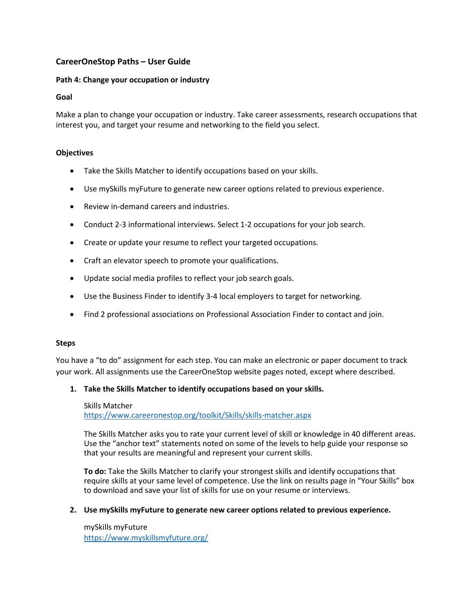# **CareerOneStop Paths – User Guide**

# **Path 4: Change your occupation or industry**

# **Goal**

Make a plan to change your occupation or industry. Take career assessments, research occupations that interest you, and target your resume and networking to the field you select.

# **Objectives**

- Take the Skills Matcher to identify occupations based on your skills.
- Use mySkills myFuture to generate new career options related to previous experience.
- Review in-demand careers and industries.
- Conduct 2-3 informational interviews. Select 1-2 occupations for your job search.
- Create or update your resume to reflect your targeted occupations.
- Craft an elevator speech to promote your qualifications.
- Update social media profiles to reflect your job search goals.
- Use the Business Finder to identify 3-4 local employers to target for networking.
- Find 2 professional associations on Professional Association Finder to contact and join.

#### **Steps**

You have a "to do" assignment for each step. You can make an electronic or paper document to track your work. All assignments use the CareerOneStop website pages noted, except where described.

# **1. Take the Skills Matcher to identify occupations based on your skills.**

#### Skills Matcher

<https://www.careeronestop.org/toolkit/Skills/skills-matcher.aspx>

The Skills Matcher asks you to rate your current level of skill or knowledge in 40 different areas. Use the "anchor text" statements noted on some of the levels to help guide your response so that your results are meaningful and represent your current skills.

**To do:** Take the Skills Matcher to clarify your strongest skills and identify occupations that require skills at your same level of competence. Use the link on results page in "Your Skills" box to download and save your list of skills for use on your resume or interviews.

# **2. Use mySkills myFuture to generate new career options related to previous experience.**

mySkills myFuture <https://www.myskillsmyfuture.org/>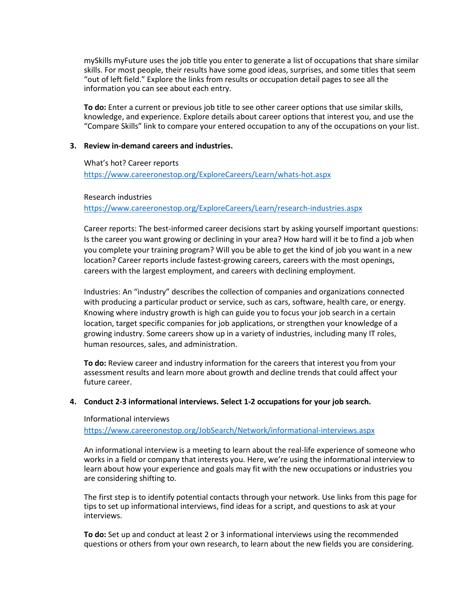mySkills myFuture uses the job title you enter to generate a list of occupations that share similar skills. For most people, their results have some good ideas, surprises, and some titles that seem "out of left field." Explore the links from results or occupation detail pages to see all the information you can see about each entry.

**To do:** Enter a current or previous job title to see other career options that use similar skills, knowledge, and experience. Explore details about career options that interest you, and use the "Compare Skills" link to compare your entered occupation to any of the occupations on your list.

# **3. Review in-demand careers and industries.**

# What's hot? Career reports

<https://www.careeronestop.org/ExploreCareers/Learn/whats-hot.aspx>

# Research industries

<https://www.careeronestop.org/ExploreCareers/Learn/research-industries.aspx>

Career reports: The best-informed career decisions start by asking yourself important questions: Is the career you want growing or declining in your area? How hard will it be to find a job when you complete your training program? Will you be able to get the kind of job you want in a new location? Career reports include fastest-growing careers, careers with the most openings, careers with the largest employment, and careers with declining employment.

Industries: An "industry" describes the collection of companies and organizations connected with producing a particular product or service, such as cars, software, health care, or energy. Knowing where industry growth is high can guide you to focus your job search in a certain location, target specific companies for job applications, or strengthen your knowledge of a growing industry. Some careers show up in a variety of industries, including many IT roles, human resources, sales, and administration.

**To do:** Review career and industry information for the careers that interest you from your assessment results and learn more about growth and decline trends that could affect your future career.

# **4. Conduct 2-3 informational interviews. Select 1-2 occupations for your job search.**

#### Informational interviews

<https://www.careeronestop.org/JobSearch/Network/informational-interviews.aspx>

An informational interview is a meeting to learn about the real-life experience of someone who works in a field or company that interests you. Here, we're using the informational interview to learn about how your experience and goals may fit with the new occupations or industries you are considering shifting to.

The first step is to identify potential contacts through your network. Use links from this page for tips to set up informational interviews, find ideas for a script, and questions to ask at your interviews.

**To do:** Set up and conduct at least 2 or 3 informational interviews using the recommended questions or others from your own research, to learn about the new fields you are considering.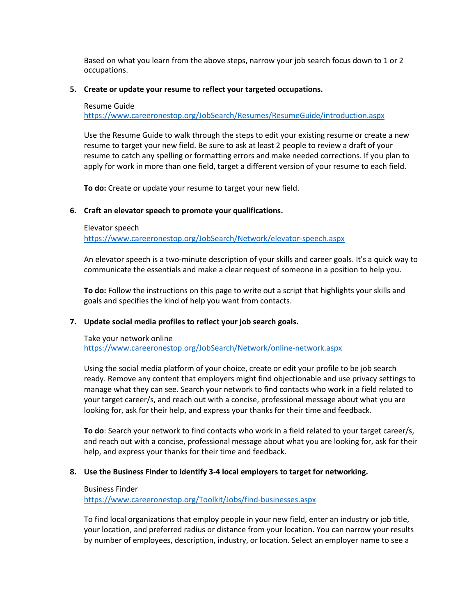Based on what you learn from the above steps, narrow your job search focus down to 1 or 2 occupations.

# **5. Create or update your resume to reflect your targeted occupations.**

#### Resume Guide

<https://www.careeronestop.org/JobSearch/Resumes/ResumeGuide/introduction.aspx>

Use the Resume Guide to walk through the steps to edit your existing resume or create a new resume to target your new field. Be sure to ask at least 2 people to review a draft of your resume to catch any spelling or formatting errors and make needed corrections. If you plan to apply for work in more than one field, target a different version of your resume to each field.

**To do:** Create or update your resume to target your new field.

# **6. Craft an elevator speech to promote your qualifications.**

#### Elevator speech

<https://www.careeronestop.org/JobSearch/Network/elevator-speech.aspx>

An elevator speech is a two-minute description of your skills and career goals. It's a quick way to communicate the essentials and make a clear request of someone in a position to help you.

**To do:** Follow the instructions on this page to write out a script that highlights your skills and goals and specifies the kind of help you want from contacts.

#### **7. Update social media profiles to reflect your job search goals.**

#### Take your network online <https://www.careeronestop.org/JobSearch/Network/online-network.aspx>

Using the social media platform of your choice, create or edit your profile to be job search ready. Remove any content that employers might find objectionable and use privacy settings to manage what they can see. Search your network to find contacts who work in a field related to your target career/s, and reach out with a concise, professional message about what you are looking for, ask for their help, and express your thanks for their time and feedback.

**To do**: Search your network to find contacts who work in a field related to your target career/s, and reach out with a concise, professional message about what you are looking for, ask for their help, and express your thanks for their time and feedback.

#### **8. Use the Business Finder to identify 3-4 local employers to target for networking.**

#### Business Finder

<https://www.careeronestop.org/Toolkit/Jobs/find-businesses.aspx>

To find local organizations that employ people in your new field, enter an industry or job title, your location, and preferred radius or distance from your location. You can narrow your results by number of employees, description, industry, or location. Select an employer name to see a